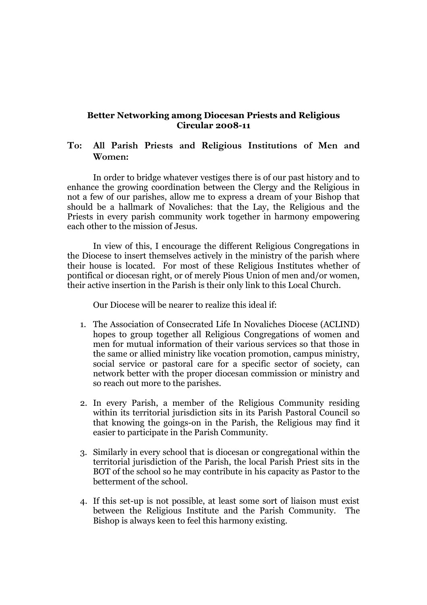## **Better Networking among Diocesan Priests and Religious Circular 2008-11**

## **To: All Parish Priests and Religious Institutions of Men and Women:**

In order to bridge whatever vestiges there is of our past history and to enhance the growing coordination between the Clergy and the Religious in not a few of our parishes, allow me to express a dream of your Bishop that should be a hallmark of Novaliches: that the Lay, the Religious and the Priests in every parish community work together in harmony empowering each other to the mission of Jesus.

In view of this, I encourage the different Religious Congregations in the Diocese to insert themselves actively in the ministry of the parish where their house is located. For most of these Religious Institutes whether of pontifical or diocesan right, or of merely Pious Union of men and/or women, their active insertion in the Parish is their only link to this Local Church.

Our Diocese will be nearer to realize this ideal if:

- 1. The Association of Consecrated Life In Novaliches Diocese (ACLIND) hopes to group together all Religious Congregations of women and men for mutual information of their various services so that those in the same or allied ministry like vocation promotion, campus ministry, social service or pastoral care for a specific sector of society, can network better with the proper diocesan commission or ministry and so reach out more to the parishes.
- 2. In every Parish, a member of the Religious Community residing within its territorial jurisdiction sits in its Parish Pastoral Council so that knowing the goings-on in the Parish, the Religious may find it easier to participate in the Parish Community.
- 3. Similarly in every school that is diocesan or congregational within the territorial jurisdiction of the Parish, the local Parish Priest sits in the BOT of the school so he may contribute in his capacity as Pastor to the betterment of the school.
- 4. If this set-up is not possible, at least some sort of liaison must exist between the Religious Institute and the Parish Community. The Bishop is always keen to feel this harmony existing.